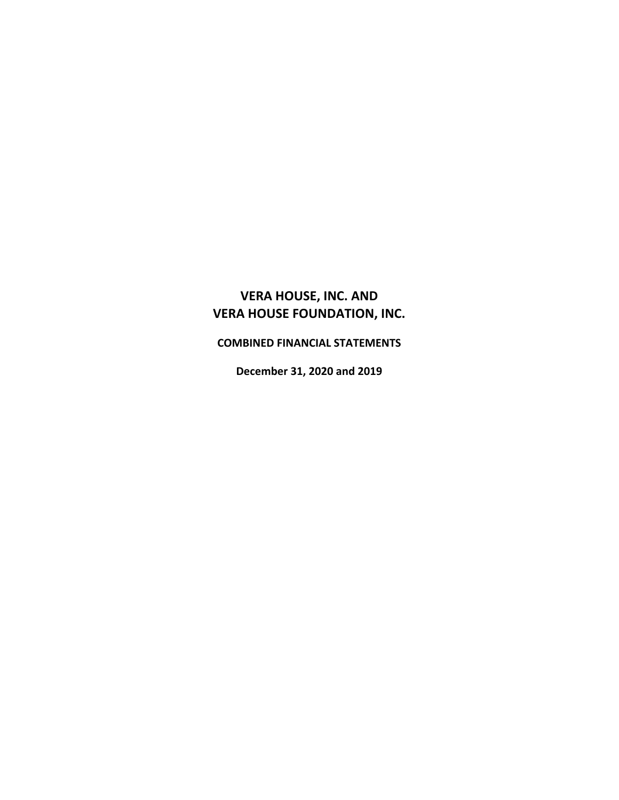**COMBINED FINANCIAL STATEMENTS**

**December 31, 2020 and 2019**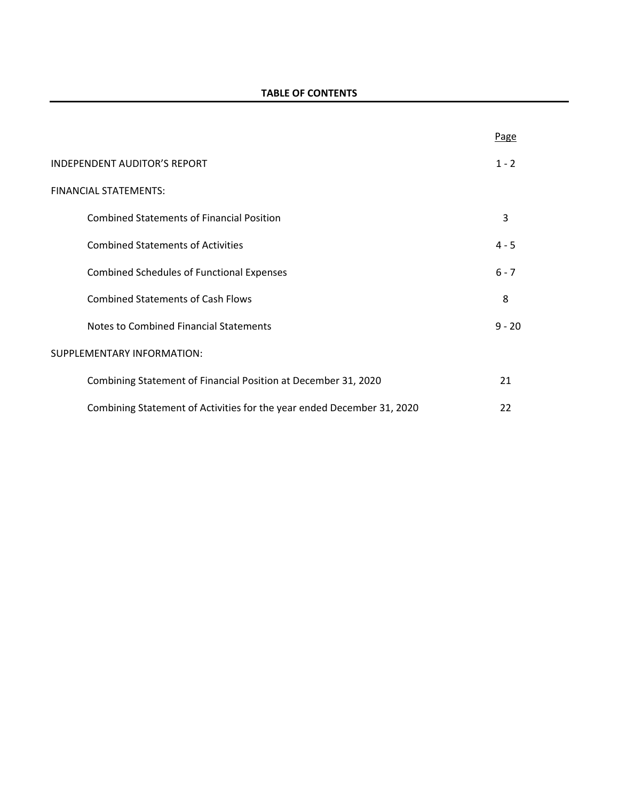|                                                                        | Page     |
|------------------------------------------------------------------------|----------|
| INDEPENDENT AUDITOR'S REPORT                                           | $1 - 2$  |
| FINANCIAL STATEMENTS:                                                  |          |
| <b>Combined Statements of Financial Position</b>                       | 3        |
| <b>Combined Statements of Activities</b>                               | $4 - 5$  |
| <b>Combined Schedules of Functional Expenses</b>                       | $6 - 7$  |
| <b>Combined Statements of Cash Flows</b>                               | 8        |
| Notes to Combined Financial Statements                                 | $9 - 20$ |
| SUPPLEMENTARY INFORMATION:                                             |          |
| Combining Statement of Financial Position at December 31, 2020         | 21       |
| Combining Statement of Activities for the year ended December 31, 2020 | 22       |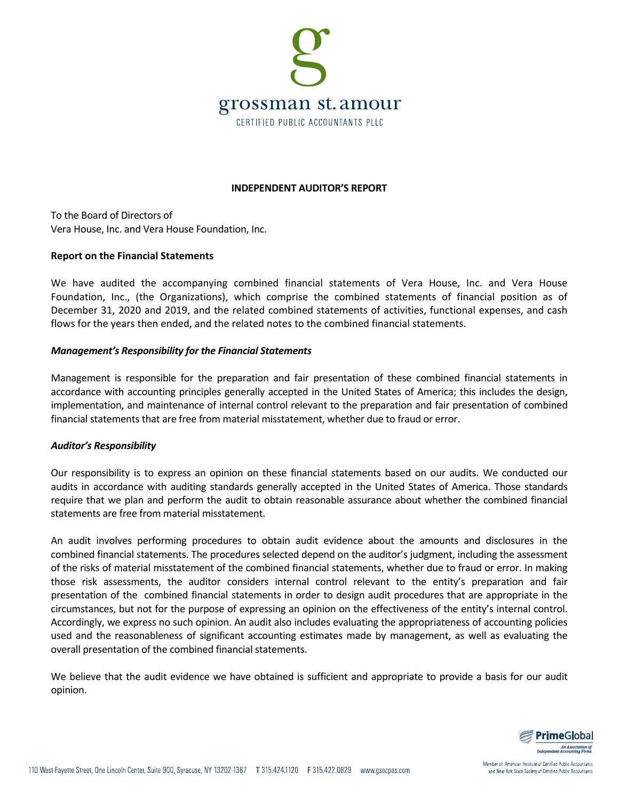

## **INDEPENDENT AUDITOR'S REPORT**

To the Board of Directors of Vera House, Inc. and Vera House Foundation, Inc.

#### **Report on the Financial Statements**

We have audited the accompanying combined financial statements of Vera House, Inc. and Vera House Foundation, Inc., (the Organizations), which comprise the combined statements of financial position as of December 31, 2020 and 2019, and the related combined statements of activities, functional expenses, and cash flows for the years then ended, and the related notes to the combined financial statements.

## *Management's Responsibility for the Financial Statements*

Management is responsible for the preparation and fair presentation of these combined financial statements in accordance with accounting principles generally accepted in the United States of America; this includes the design, implementation, and maintenance of internal control relevant to the preparation and fair presentation of combined financial statements that are free from material misstatement, whether due to fraud or error.

## *Auditor's Responsibility*

Our responsibility is to express an opinion on these financial statements based on our audits. We conducted our audits in accordance with auditing standards generally accepted in the United States of America. Those standards require that we plan and perform the audit to obtain reasonable assurance about whether the combined financial statements are free from material misstatement.

An audit involves performing procedures to obtain audit evidence about the amounts and disclosures in the combined financial statements. The procedures selected depend on the auditor's judgment, including the assessment of the risks of material misstatement of the combined financial statements, whether due to fraud or error. In making those risk assessments, the auditor considers internal control relevant to the entity's preparation and fair presentation of the combined financial statements in order to design audit procedures that are appropriate in the circumstances, but not for the purpose of expressing an opinion on the effectiveness of the entity's internal control. Accordingly, we express no such opinion. An audit also includes evaluating the appropriateness of accounting policies used and the reasonableness of significant accounting estimates made by management, as well as evaluating the overall presentation of the combined financial statements.

We believe that the audit evidence we have obtained is sufficient and appropriate to provide a basis for our audit opinion.



Member of: American Institute of Certified Public Accountants and New York State Society of Certified Public Accountants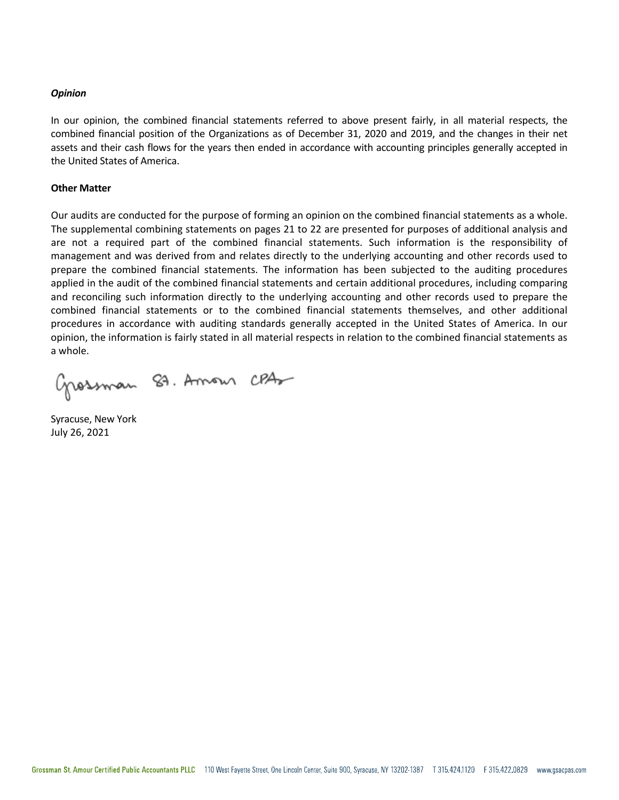#### *Opinion*

In our opinion, the combined financial statements referred to above present fairly, in all material respects, the combined financial position of the Organizations as of December 31, 2020 and 2019, and the changes in their net assets and their cash flows for the years then ended in accordance with accounting principles generally accepted in the United States of America.

#### **Other Matter**

Our audits are conducted for the purpose of forming an opinion on the combined financial statements as a whole. The supplemental combining statements on pages 21 to 22 are presented for purposes of additional analysis and are not a required part of the combined financial statements. Such information is the responsibility of management and was derived from and relates directly to the underlying accounting and other records used to prepare the combined financial statements. The information has been subjected to the auditing procedures applied in the audit of the combined financial statements and certain additional procedures, including comparing and reconciling such information directly to the underlying accounting and other records used to prepare the combined financial statements or to the combined financial statements themselves, and other additional procedures in accordance with auditing standards generally accepted in the United States of America. In our opinion, the information is fairly stated in all material respects in relation to the combined financial statements as a whole.

Grossman 89. Amour CPA

Syracuse, New York July 26, 2021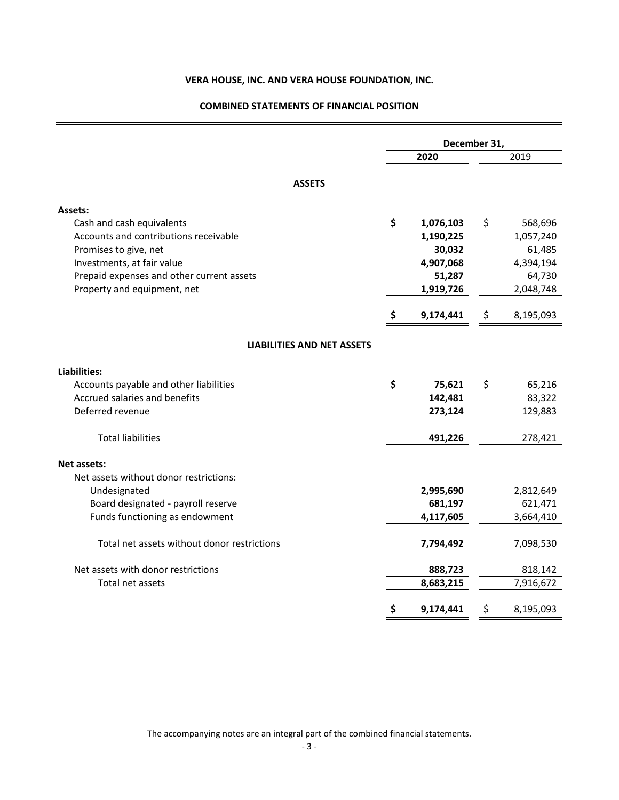## **COMBINED STATEMENTS OF FINANCIAL POSITION**

|                                             |    | December 31, |    |           |
|---------------------------------------------|----|--------------|----|-----------|
|                                             |    | 2020         |    | 2019      |
| <b>ASSETS</b>                               |    |              |    |           |
| Assets:                                     |    |              |    |           |
| Cash and cash equivalents                   | \$ | 1,076,103    | \$ | 568,696   |
| Accounts and contributions receivable       |    | 1,190,225    |    | 1,057,240 |
| Promises to give, net                       |    | 30,032       |    | 61,485    |
| Investments, at fair value                  |    | 4,907,068    |    | 4,394,194 |
| Prepaid expenses and other current assets   |    | 51,287       |    | 64,730    |
| Property and equipment, net                 |    | 1,919,726    |    | 2,048,748 |
|                                             | \$ | 9,174,441    | \$ | 8,195,093 |
| <b>LIABILITIES AND NET ASSETS</b>           |    |              |    |           |
| Liabilities:                                |    |              |    |           |
| Accounts payable and other liabilities      | \$ | 75,621       | \$ | 65,216    |
| Accrued salaries and benefits               |    | 142,481      |    | 83,322    |
| Deferred revenue                            |    | 273,124      |    | 129,883   |
| <b>Total liabilities</b>                    |    | 491,226      |    | 278,421   |
| <b>Net assets:</b>                          |    |              |    |           |
| Net assets without donor restrictions:      |    |              |    |           |
| Undesignated                                |    | 2,995,690    |    | 2,812,649 |
| Board designated - payroll reserve          |    | 681,197      |    | 621,471   |
| Funds functioning as endowment              |    | 4,117,605    |    | 3,664,410 |
| Total net assets without donor restrictions |    | 7,794,492    |    | 7,098,530 |
| Net assets with donor restrictions          |    | 888,723      |    | 818,142   |
| Total net assets                            |    | 8,683,215    |    | 7,916,672 |
|                                             | \$ | 9,174,441    | \$ | 8,195,093 |

The accompanying notes are an integral part of the combined financial statements.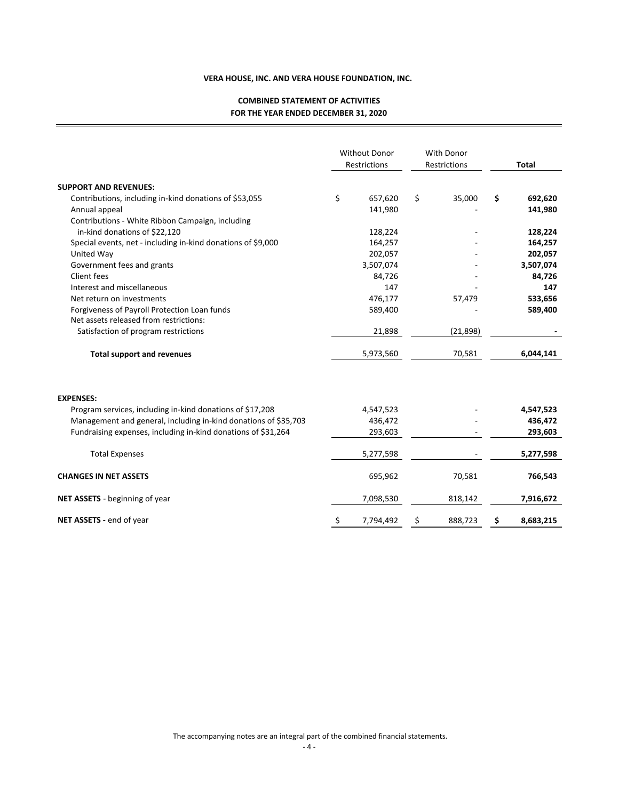## **COMBINED STATEMENT OF ACTIVITIES FOR THE YEAR ENDED DECEMBER 31, 2020**

|                                                                 |    | <b>Without Donor</b><br>Restrictions | With Donor<br>Restrictions |          |    | <b>Total</b> |
|-----------------------------------------------------------------|----|--------------------------------------|----------------------------|----------|----|--------------|
| <b>SUPPORT AND REVENUES:</b>                                    |    |                                      |                            |          |    |              |
| Contributions, including in-kind donations of \$53,055          | \$ | 657,620                              | \$                         | 35,000   | \$ | 692,620      |
| Annual appeal                                                   |    | 141,980                              |                            |          |    | 141,980      |
| Contributions - White Ribbon Campaign, including                |    |                                      |                            |          |    |              |
| in-kind donations of \$22,120                                   |    | 128,224                              |                            |          |    | 128,224      |
| Special events, net - including in-kind donations of \$9,000    |    | 164,257                              |                            |          |    | 164,257      |
| United Way                                                      |    | 202,057                              |                            |          |    | 202,057      |
| Government fees and grants                                      |    | 3,507,074                            |                            |          |    | 3,507,074    |
| Client fees                                                     |    | 84,726                               |                            |          |    | 84,726       |
| Interest and miscellaneous                                      |    | 147                                  |                            |          |    | 147          |
| Net return on investments                                       |    | 476,177                              |                            | 57,479   |    | 533,656      |
| Forgiveness of Payroll Protection Loan funds                    |    | 589,400                              |                            |          |    | 589,400      |
| Net assets released from restrictions:                          |    |                                      |                            |          |    |              |
| Satisfaction of program restrictions                            |    | 21,898                               |                            | (21,898) |    |              |
| <b>Total support and revenues</b>                               |    | 5,973,560                            |                            | 70,581   |    | 6,044,141    |
| <b>EXPENSES:</b>                                                |    |                                      |                            |          |    |              |
| Program services, including in-kind donations of \$17,208       |    | 4,547,523                            |                            |          |    | 4,547,523    |
| Management and general, including in-kind donations of \$35,703 |    | 436,472                              |                            |          |    | 436,472      |
| Fundraising expenses, including in-kind donations of \$31,264   |    | 293,603                              |                            |          |    | 293,603      |
| <b>Total Expenses</b>                                           |    | 5,277,598                            |                            |          |    | 5,277,598    |
| <b>CHANGES IN NET ASSETS</b>                                    |    | 695,962                              |                            | 70,581   |    | 766,543      |
| <b>NET ASSETS</b> - beginning of year                           |    | 7,098,530                            |                            | 818,142  |    | 7,916,672    |
| NET ASSETS - end of year                                        | Ş  | 7,794,492                            | Ş                          | 888,723  | Ş  | 8,683,215    |

The accompanying notes are an integral part of the combined financial statements.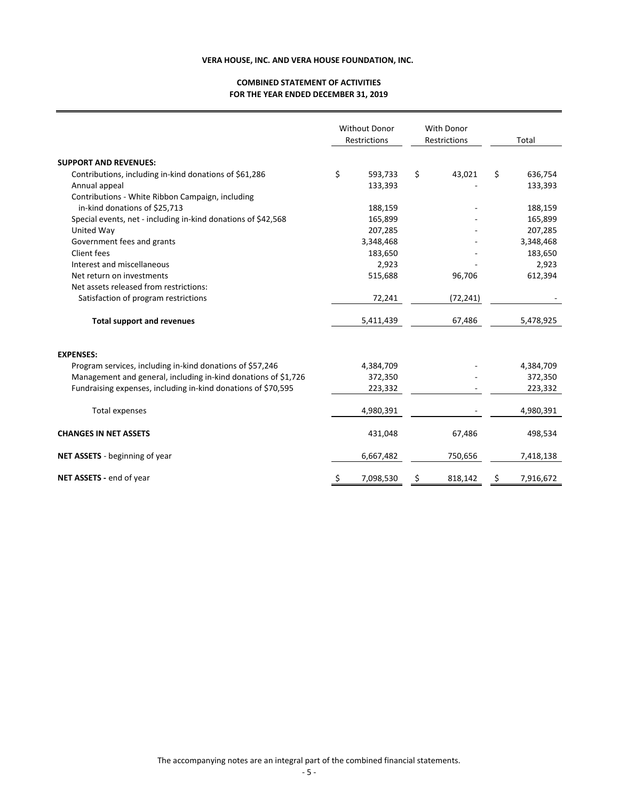#### **COMBINED STATEMENT OF ACTIVITIES FOR THE YEAR ENDED DECEMBER 31, 2019**

|                                                                | <b>Without Donor</b><br>Restrictions | <b>With Donor</b><br>Restrictions | Total         |
|----------------------------------------------------------------|--------------------------------------|-----------------------------------|---------------|
| <b>SUPPORT AND REVENUES:</b>                                   |                                      |                                   |               |
| Contributions, including in-kind donations of \$61,286         | \$<br>593,733                        | \$<br>43,021                      | \$<br>636,754 |
| Annual appeal                                                  | 133,393                              |                                   | 133,393       |
| Contributions - White Ribbon Campaign, including               |                                      |                                   |               |
| in-kind donations of \$25,713                                  | 188,159                              |                                   | 188,159       |
| Special events, net - including in-kind donations of \$42,568  | 165,899                              |                                   | 165,899       |
| United Way                                                     | 207,285                              |                                   | 207,285       |
| Government fees and grants                                     | 3,348,468                            |                                   | 3,348,468     |
| Client fees                                                    | 183,650                              |                                   | 183,650       |
| Interest and miscellaneous                                     | 2,923                                |                                   | 2,923         |
| Net return on investments                                      | 515,688                              | 96,706                            | 612,394       |
| Net assets released from restrictions:                         |                                      |                                   |               |
| Satisfaction of program restrictions                           | 72,241                               | (72, 241)                         |               |
| <b>Total support and revenues</b>                              | 5,411,439                            | 67,486                            | 5,478,925     |
| <b>EXPENSES:</b>                                               |                                      |                                   |               |
| Program services, including in-kind donations of \$57,246      | 4,384,709                            |                                   | 4,384,709     |
| Management and general, including in-kind donations of \$1,726 | 372,350                              |                                   | 372,350       |
| Fundraising expenses, including in-kind donations of \$70,595  | 223,332                              |                                   | 223,332       |
| Total expenses                                                 | 4,980,391                            |                                   | 4,980,391     |
| <b>CHANGES IN NET ASSETS</b>                                   | 431,048                              | 67,486                            | 498,534       |
| NET ASSETS - beginning of year                                 | 6,667,482                            | 750,656                           | 7,418,138     |
| NET ASSETS - end of year                                       | 7,098,530                            | 818,142                           | 7,916,672     |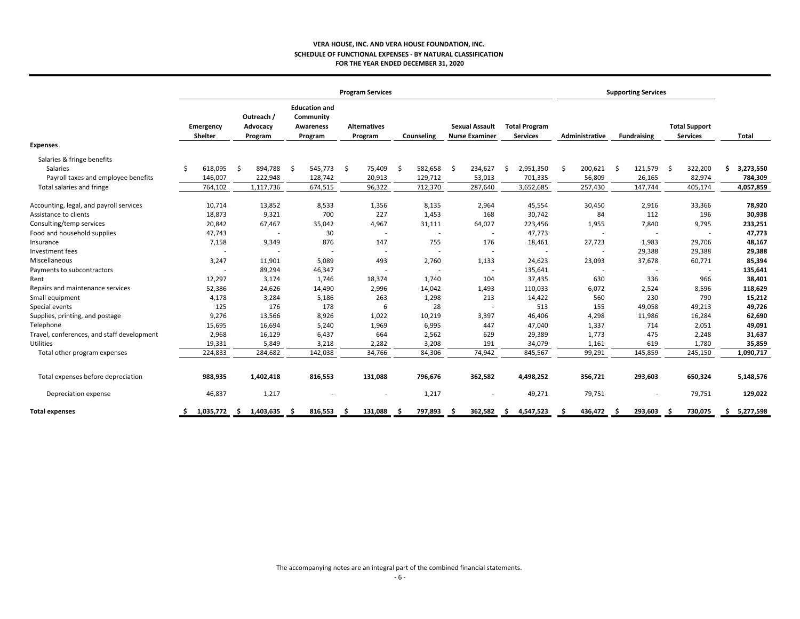#### **VERA HOUSE, INC. AND VERA HOUSE FOUNDATION, INC. SCHEDULE OF FUNCTIONAL EXPENSES ‐ BY NATURAL CLASSIFICATION FOR THE YEAR ENDED DECEMBER 31, 2020**

|                                                                                                                   |   | <b>Program Services</b>       |                                       |      |                                                           |      |                                   |    | <b>Supporting Services</b>         |    |                                                |    |                                         |    |                              |    |                                    |      |                                         |    |                                   |
|-------------------------------------------------------------------------------------------------------------------|---|-------------------------------|---------------------------------------|------|-----------------------------------------------------------|------|-----------------------------------|----|------------------------------------|----|------------------------------------------------|----|-----------------------------------------|----|------------------------------|----|------------------------------------|------|-----------------------------------------|----|-----------------------------------|
|                                                                                                                   |   | Emergency<br>Shelter          | Outreach /<br>Advocacy<br>Program     |      | <b>Education and</b><br>Community<br>Awareness<br>Program |      | <b>Alternatives</b><br>Program    |    | Counseling                         |    | <b>Sexual Assault</b><br><b>Nurse Examiner</b> |    | <b>Total Program</b><br><b>Services</b> |    | Administrative               |    | <b>Fundraising</b>                 |      | <b>Total Support</b><br><b>Services</b> |    | <b>Total</b>                      |
| <b>Expenses</b>                                                                                                   |   |                               |                                       |      |                                                           |      |                                   |    |                                    |    |                                                |    |                                         |    |                              |    |                                    |      |                                         |    |                                   |
| Salaries & fringe benefits<br><b>Salaries</b><br>Payroll taxes and employee benefits<br>Total salaries and fringe | Ŝ | 618,095<br>146,007<br>764,102 | Ŝ.<br>894,788<br>222,948<br>1,117,736 | - \$ | 545,773<br>128,742<br>674,515                             | - \$ | 75,409<br>20,913<br>96,322        | -Ś | 582,658<br>129,712<br>712,370      | -Ś | 234,627<br>53,013<br>287,640                   | Ŝ. | 2,951,350<br>701,335<br>3,652,685       | \$ | 200,621<br>56,809<br>257,430 | Ŝ. | 121,579<br>26,165<br>147,744       | - \$ | 322,200<br>82,974<br>405,174            | Ś. | 3,273,550<br>784,309<br>4,057,859 |
|                                                                                                                   |   |                               |                                       |      |                                                           |      |                                   |    |                                    |    |                                                |    |                                         |    |                              |    |                                    |      |                                         |    |                                   |
| Accounting, legal, and payroll services<br>Assistance to clients                                                  |   | 10,714<br>18,873              | 13,852<br>9,321                       |      | 8,533<br>700                                              |      | 1,356<br>227                      |    | 8,135<br>1,453                     |    | 2,964<br>168                                   |    | 45,554<br>30,742                        |    | 30,450<br>84                 |    | 2,916<br>112                       |      | 33,366<br>196                           |    | 78,920<br>30,938                  |
| Consulting/temp services<br>Food and household supplies                                                           |   | 20,842<br>47,743              | 67,467                                |      | 35,042<br>30                                              |      | 4,967<br>$\overline{\phantom{a}}$ |    | 31,111<br>$\overline{\phantom{a}}$ |    | 64,027                                         |    | 223,456<br>47,773                       |    | 1,955                        |    | 7,840<br>$\overline{\phantom{a}}$  |      | 9,795                                   |    | 233,251<br>47,773                 |
| Insurance<br>Investment fees                                                                                      |   | 7,158                         | 9,349                                 |      | 876                                                       |      | 147<br>$\overline{\phantom{a}}$   |    | 755                                |    | 176                                            |    | 18,461                                  |    | 27,723                       |    | 1,983<br>29,388                    |      | 29,706<br>29,388                        |    | 48,167<br>29,388                  |
| Miscellaneous<br>Payments to subcontractors                                                                       |   | 3,247                         | 11,901<br>89,294                      |      | 5,089<br>46,347                                           |      | 493                               |    | 2,760<br>$\overline{\phantom{a}}$  |    | 1,133                                          |    | 24,623<br>135,641                       |    | 23,093                       |    | 37,678<br>$\overline{\phantom{a}}$ |      | 60,771                                  |    | 85,394<br>135,641                 |
| Rent<br>Repairs and maintenance services                                                                          |   | 12,297<br>52,386              | 3,174<br>24,626                       |      | 1,746<br>14,490                                           |      | 18,374<br>2,996                   |    | 1,740<br>14,042                    |    | 104<br>1,493                                   |    | 37,435<br>110,033                       |    | 630<br>6,072                 |    | 336<br>2,524                       |      | 966<br>8,596                            |    | 38,401<br>118,629                 |
| Small equipment                                                                                                   |   | 4,178                         | 3,284                                 |      | 5,186                                                     |      | 263                               |    | 1,298                              |    | 213                                            |    | 14,422                                  |    | 560                          |    | 230                                |      | 790                                     |    | 15,212                            |
| Special events<br>Supplies, printing, and postage                                                                 |   | 125<br>9,276                  | 176<br>13,566                         |      | 178<br>8,926                                              |      | 6<br>1,022                        |    | 28<br>10,219                       |    | 3,397                                          |    | 513<br>46,406                           |    | 155<br>4,298                 |    | 49,058<br>11,986                   |      | 49,213<br>16,284                        |    | 49,726<br>62,690                  |
| Telephone<br>Travel, conferences, and staff development                                                           |   | 15,695<br>2,968               | 16,694<br>16,129                      |      | 5,240<br>6,437                                            |      | 1,969<br>664                      |    | 6,995<br>2,562                     |    | 447<br>629                                     |    | 47,040<br>29,389                        |    | 1,337<br>1,773               |    | 714<br>475                         |      | 2,051<br>2,248                          |    | 49,091<br>31,637                  |
| <b>Utilities</b><br>Total other program expenses                                                                  |   | 19,331<br>224,833             | 5,849<br>284,682                      |      | 3,218<br>142,038                                          |      | 2,282<br>34,766                   |    | 3,208<br>84,306                    |    | 191<br>74,942                                  |    | 34,079<br>845,567                       |    | 1,161<br>99,291              |    | 619<br>145,859                     |      | 1,780<br>245,150                        |    | 35,859<br>1,090,717               |
| Total expenses before depreciation                                                                                |   | 988,935                       | 1,402,418                             |      | 816,553                                                   |      | 131,088                           |    | 796,676                            |    | 362,582                                        |    | 4,498,252                               |    | 356,721                      |    | 293,603                            |      | 650,324                                 |    | 5,148,576                         |
| Depreciation expense                                                                                              |   | 46,837                        | 1,217                                 |      |                                                           |      |                                   |    | 1,217                              |    |                                                |    | 49,271                                  |    | 79,751                       |    | $\overline{\phantom{a}}$           |      | 79,751                                  |    | 129,022                           |
| <b>Total expenses</b>                                                                                             |   | 1,035,772                     | 1,403,635<br>S.                       |      | 816,553                                                   | - S  | 131,088                           |    | 797,893                            |    | 362,582                                        | -S | 4,547,523                               |    | 436,472                      |    | 293,603                            | - S  | 730,075                                 | s. | 5,277,598                         |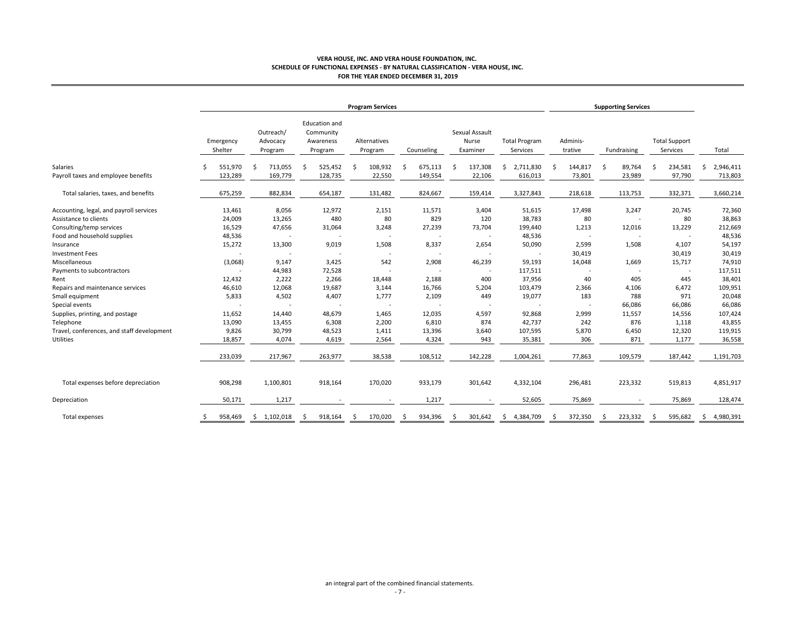#### **VERA HOUSE, INC. AND VERA HOUSE FOUNDATION, INC. SCHEDULE OF FUNCTIONAL EXPENSES ‐ BY NATURAL CLASSIFICATION ‐ VERA HOUSE, INC. FOR THE YEAR ENDED DECEMBER 31, 2019**

|                                            | <b>Program Services</b> |                                  |                                                    |                         |              |                                     |                                  | <b>Supporting Services</b> |                          |                                  |                 |
|--------------------------------------------|-------------------------|----------------------------------|----------------------------------------------------|-------------------------|--------------|-------------------------------------|----------------------------------|----------------------------|--------------------------|----------------------------------|-----------------|
|                                            | Emergency<br>Shelter    | Outreach/<br>Advocacy<br>Program | Education and<br>Community<br>Awareness<br>Program | Alternatives<br>Program | Counseling   | Sexual Assault<br>Nurse<br>Examiner | <b>Total Program</b><br>Services | Adminis-<br>trative        | Fundraising              | <b>Total Support</b><br>Services | Total           |
| Salaries                                   | 551,970                 | 713,055<br>Ś                     | 525,452<br>Ś                                       | 108,932<br>-S           | 675,113<br>Ŝ | 137,308<br>Ś                        | 2,711,830<br>Ś.                  | 144,817                    | 89,764<br>-\$            | 234,581<br>Š.                    | 2,946,411<br>Ś. |
| Payroll taxes and employee benefits        | 123,289                 | 169,779                          | 128,735                                            | 22,550                  | 149,554      | 22,106                              | 616,013                          | 73,801                     | 23,989                   | 97,790                           | 713,803         |
| Total salaries, taxes, and benefits        | 675,259                 | 882,834                          | 654,187                                            | 131,482                 | 824,667      | 159,414                             | 3,327,843                        | 218,618                    | 113,753                  | 332,371                          | 3,660,214       |
| Accounting, legal, and payroll services    | 13,461                  | 8,056                            | 12,972                                             | 2,151                   | 11,571       | 3,404                               | 51,615                           | 17,498                     | 3,247                    | 20,745                           | 72,360          |
| Assistance to clients                      | 24,009                  | 13,265                           | 480                                                | 80                      | 829          | 120                                 | 38,783                           | 80                         |                          | 80                               | 38,863          |
| Consulting/temp services                   | 16,529                  | 47,656                           | 31,064                                             | 3,248                   | 27,239       | 73,704                              | 199,440                          | 1,213                      | 12,016                   | 13,229                           | 212,669         |
| Food and household supplies                | 48,536                  |                                  |                                                    |                         |              | $\overline{\phantom{a}}$            | 48,536                           |                            |                          |                                  | 48,536          |
| Insurance                                  | 15,272                  | 13,300                           | 9,019                                              | 1,508                   | 8,337        | 2,654                               | 50,090                           | 2,599                      | 1,508                    | 4,107                            | 54,197          |
| <b>Investment Fees</b>                     |                         |                                  |                                                    |                         |              |                                     |                                  | 30,419                     |                          | 30,419                           | 30,419          |
| Miscellaneous                              | (3,068)                 | 9,147                            | 3,425                                              | 542                     | 2,908        | 46,239                              | 59,193                           | 14,048                     | 1,669                    | 15,717                           | 74,910          |
| Payments to subcontractors                 |                         | 44,983                           | 72,528                                             |                         |              | $\overline{a}$                      | 117,511                          | $\overline{\phantom{a}}$   | $\overline{\phantom{a}}$ |                                  | 117,511         |
| Rent                                       | 12,432                  | 2,222                            | 2,266                                              | 18,448                  | 2,188        | 400                                 | 37,956                           | 40                         | 405                      | 445                              | 38,401          |
| Repairs and maintenance services           | 46,610                  | 12,068                           | 19,687                                             | 3,144                   | 16,766       | 5,204                               | 103,479                          | 2,366                      | 4,106                    | 6,472                            | 109,951         |
| Small equipment                            | 5,833                   | 4,502                            | 4,407                                              | 1,777                   | 2,109        | 449                                 | 19,077                           | 183                        | 788                      | 971                              | 20,048          |
| Special events                             |                         |                                  |                                                    |                         |              | $\overline{a}$                      |                                  |                            | 66,086                   | 66,086                           | 66,086          |
| Supplies, printing, and postage            | 11,652                  | 14,440                           | 48,679                                             | 1,465                   | 12,035       | 4,597                               | 92,868                           | 2,999                      | 11,557                   | 14,556                           | 107,424         |
| Telephone                                  | 13,090                  | 13,455                           | 6,308                                              | 2,200                   | 6,810        | 874                                 | 42,737                           | 242                        | 876                      | 1,118                            | 43,855          |
| Travel, conferences, and staff development | 9,826                   | 30,799                           | 48,523                                             | 1,411                   | 13,396       | 3,640                               | 107,595                          | 5,870                      | 6,450                    | 12,320                           | 119,915         |
| Utilities                                  | 18,857                  | 4,074                            | 4,619                                              | 2,564                   | 4,324        | 943                                 | 35,381                           | 306                        | 871                      | 1,177                            | 36,558          |
|                                            | 233,039                 | 217,967                          | 263,977                                            | 38,538                  | 108,512      | 142,228                             | 1,004,261                        | 77,863                     | 109,579                  | 187,442                          | 1,191,703       |
| Total expenses before depreciation         | 908,298                 | 1,100,801                        | 918,164                                            | 170,020                 | 933,179      | 301,642                             | 4,332,104                        | 296,481                    | 223,332                  | 519,813                          | 4,851,917       |
| Depreciation                               | 50,171                  | 1,217                            |                                                    |                         | 1,217        |                                     | 52,605                           | 75,869                     |                          | 75,869                           | 128,474         |
| Total expenses                             | 958,469                 | \$1,102,018                      | 918,164<br>-Ŝ                                      | 170,020<br>\$.          | 934,396<br>Ŝ | 301,642<br>\$.                      | 4,384,709<br>S.                  | 372,350                    | 223,332<br>Ŝ             | 595,682<br>\$.                   | 4,980,391<br>\$ |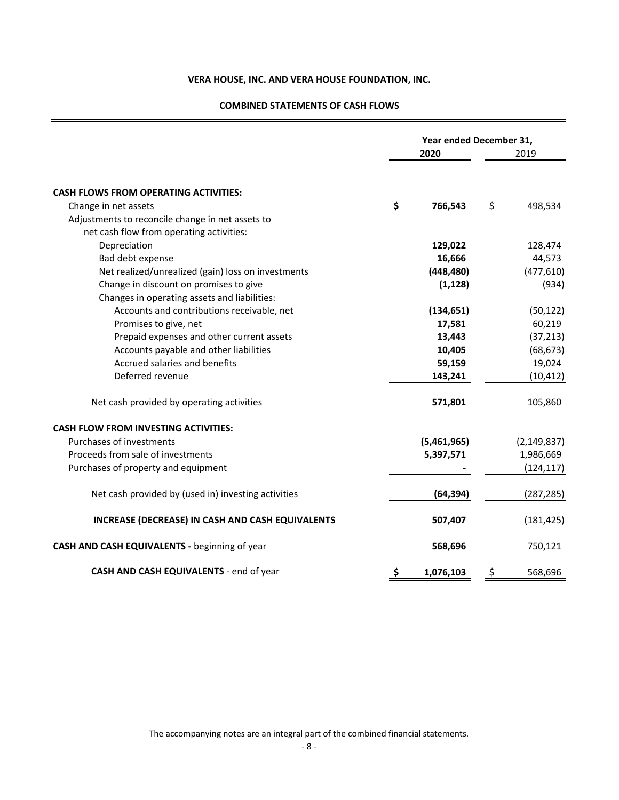## **COMBINED STATEMENTS OF CASH FLOWS**

|                                                     |     |             | Year ended December 31, |               |  |  |
|-----------------------------------------------------|-----|-------------|-------------------------|---------------|--|--|
|                                                     |     | 2020        |                         | 2019          |  |  |
| <b>CASH FLOWS FROM OPERATING ACTIVITIES:</b>        |     |             |                         |               |  |  |
| Change in net assets                                | \$  | 766,543     | \$                      | 498,534       |  |  |
| Adjustments to reconcile change in net assets to    |     |             |                         |               |  |  |
| net cash flow from operating activities:            |     |             |                         |               |  |  |
| Depreciation                                        |     | 129,022     |                         | 128,474       |  |  |
| Bad debt expense                                    |     | 16,666      |                         | 44,573        |  |  |
| Net realized/unrealized (gain) loss on investments  |     | (448, 480)  |                         | (477, 610)    |  |  |
| Change in discount on promises to give              |     | (1, 128)    |                         | (934)         |  |  |
| Changes in operating assets and liabilities:        |     |             |                         |               |  |  |
| Accounts and contributions receivable, net          |     | (134, 651)  |                         | (50, 122)     |  |  |
| Promises to give, net                               |     | 17,581      |                         | 60,219        |  |  |
| Prepaid expenses and other current assets           |     | 13,443      |                         | (37, 213)     |  |  |
| Accounts payable and other liabilities              |     | 10,405      |                         | (68, 673)     |  |  |
| Accrued salaries and benefits                       |     | 59,159      |                         | 19,024        |  |  |
| Deferred revenue                                    |     | 143,241     |                         | (10, 412)     |  |  |
| Net cash provided by operating activities           |     | 571,801     |                         | 105,860       |  |  |
| <b>CASH FLOW FROM INVESTING ACTIVITIES:</b>         |     |             |                         |               |  |  |
| Purchases of investments                            |     | (5,461,965) |                         | (2, 149, 837) |  |  |
| Proceeds from sale of investments                   |     | 5,397,571   |                         | 1,986,669     |  |  |
| Purchases of property and equipment                 |     |             |                         | (124, 117)    |  |  |
| Net cash provided by (used in) investing activities |     | (64, 394)   |                         | (287, 285)    |  |  |
| INCREASE (DECREASE) IN CASH AND CASH EQUIVALENTS    |     | 507,407     |                         | (181, 425)    |  |  |
| CASH AND CASH EQUIVALENTS - beginning of year       |     | 568,696     |                         | 750,121       |  |  |
| CASH AND CASH EQUIVALENTS - end of year             | \$, | 1,076,103   | \$,                     | 568,696       |  |  |

The accompanying notes are an integral part of the combined financial statements.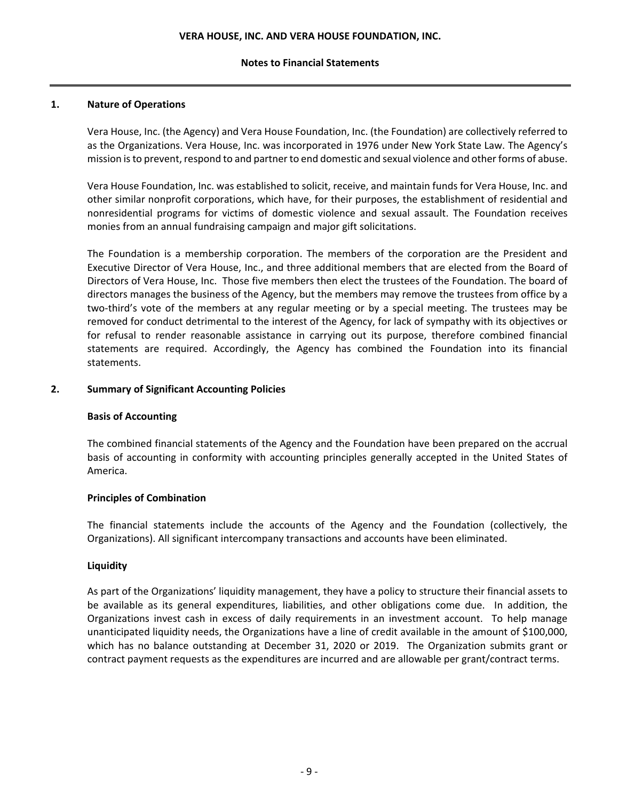## **Notes to Financial Statements**

## **1. Nature of Operations**

Vera House, Inc. (the Agency) and Vera House Foundation, Inc. (the Foundation) are collectively referred to as the Organizations. Vera House, Inc. was incorporated in 1976 under New York State Law. The Agency's mission isto prevent, respond to and partner to end domestic and sexual violence and other forms of abuse.

Vera House Foundation, Inc. was established to solicit, receive, and maintain funds for Vera House, Inc. and other similar nonprofit corporations, which have, for their purposes, the establishment of residential and nonresidential programs for victims of domestic violence and sexual assault. The Foundation receives monies from an annual fundraising campaign and major gift solicitations.

The Foundation is a membership corporation. The members of the corporation are the President and Executive Director of Vera House, Inc., and three additional members that are elected from the Board of Directors of Vera House, Inc. Those five members then elect the trustees of the Foundation. The board of directors manages the business of the Agency, but the members may remove the trustees from office by a two‐third's vote of the members at any regular meeting or by a special meeting. The trustees may be removed for conduct detrimental to the interest of the Agency, for lack of sympathy with its objectives or for refusal to render reasonable assistance in carrying out its purpose, therefore combined financial statements are required. Accordingly, the Agency has combined the Foundation into its financial statements.

## **2. Summary of Significant Accounting Policies**

## **Basis of Accounting**

The combined financial statements of the Agency and the Foundation have been prepared on the accrual basis of accounting in conformity with accounting principles generally accepted in the United States of America.

## **Principles of Combination**

The financial statements include the accounts of the Agency and the Foundation (collectively, the Organizations). All significant intercompany transactions and accounts have been eliminated.

## **Liquidity**

As part of the Organizations' liquidity management, they have a policy to structure their financial assets to be available as its general expenditures, liabilities, and other obligations come due. In addition, the Organizations invest cash in excess of daily requirements in an investment account. To help manage unanticipated liquidity needs, the Organizations have a line of credit available in the amount of \$100,000, which has no balance outstanding at December 31, 2020 or 2019. The Organization submits grant or contract payment requests as the expenditures are incurred and are allowable per grant/contract terms.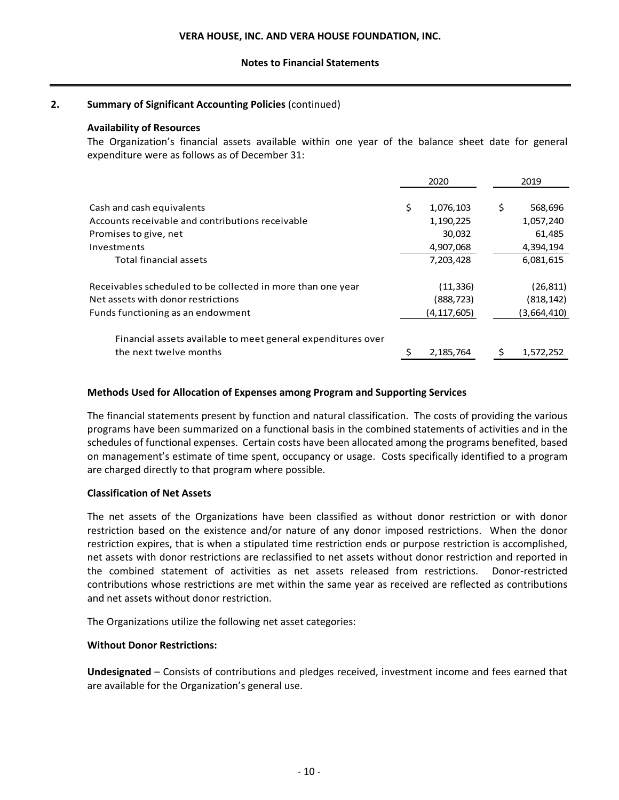## **Notes to Financial Statements**

## **2. Summary of Significant Accounting Policies** (continued)

## **Availability of Resources**

The Organization's financial assets available within one year of the balance sheet date for general expenditure were as follows as of December 31:

|                                                              | 2020            |     | 2019        |
|--------------------------------------------------------------|-----------------|-----|-------------|
|                                                              |                 |     |             |
| Cash and cash equivalents                                    | \$<br>1,076,103 | \$. | 568,696     |
| Accounts receivable and contributions receivable             | 1,190,225       |     | 1,057,240   |
| Promises to give, net                                        | 30,032          |     | 61,485      |
| Investments                                                  | 4,907,068       |     | 4,394,194   |
| Total financial assets                                       | 7,203,428       |     | 6,081,615   |
| Receivables scheduled to be collected in more than one year  | (11,336)        |     | (26, 811)   |
| Net assets with donor restrictions                           | (888,723)       |     | (818,142)   |
| Funds functioning as an endowment                            | (4,117,605)     |     | (3,664,410) |
| Financial assets available to meet general expenditures over |                 |     |             |
| the next twelve months                                       | 2,185,764       |     | 1,572,252   |

## **Methods Used for Allocation of Expenses among Program and Supporting Services**

The financial statements present by function and natural classification. The costs of providing the various programs have been summarized on a functional basis in the combined statements of activities and in the schedules of functional expenses. Certain costs have been allocated among the programs benefited, based on management's estimate of time spent, occupancy or usage. Costs specifically identified to a program are charged directly to that program where possible.

## **Classification of Net Assets**

The net assets of the Organizations have been classified as without donor restriction or with donor restriction based on the existence and/or nature of any donor imposed restrictions. When the donor restriction expires, that is when a stipulated time restriction ends or purpose restriction is accomplished, net assets with donor restrictions are reclassified to net assets without donor restriction and reported in the combined statement of activities as net assets released from restrictions. Donor-restricted contributions whose restrictions are met within the same year as received are reflected as contributions and net assets without donor restriction.

The Organizations utilize the following net asset categories:

## **Without Donor Restrictions:**

**Undesignated** – Consists of contributions and pledges received, investment income and fees earned that are available for the Organization's general use.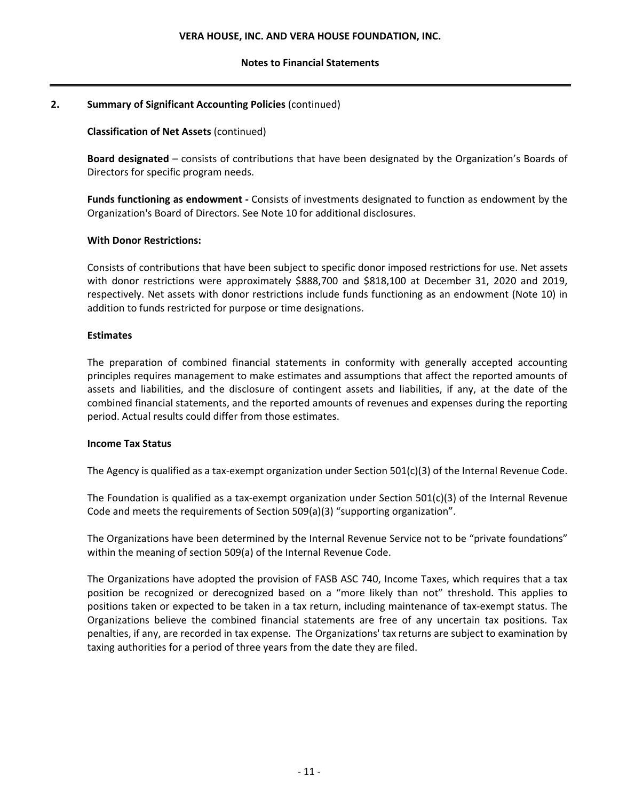## **Notes to Financial Statements**

## **2. Summary of Significant Accounting Policies** (continued)

## **Classification of Net Assets** (continued)

**Board designated** – consists of contributions that have been designated by the Organization's Boards of Directors for specific program needs.

**Funds functioning as endowment ‐** Consists of investments designated to function as endowment by the Organization's Board of Directors. See Note 10 for additional disclosures.

## **With Donor Restrictions:**

Consists of contributions that have been subject to specific donor imposed restrictions for use. Net assets with donor restrictions were approximately \$888,700 and \$818,100 at December 31, 2020 and 2019, respectively. Net assets with donor restrictions include funds functioning as an endowment (Note 10) in addition to funds restricted for purpose or time designations.

## **Estimates**

The preparation of combined financial statements in conformity with generally accepted accounting principles requires management to make estimates and assumptions that affect the reported amounts of assets and liabilities, and the disclosure of contingent assets and liabilities, if any, at the date of the combined financial statements, and the reported amounts of revenues and expenses during the reporting period. Actual results could differ from those estimates.

## **Income Tax Status**

The Agency is qualified as a tax-exempt organization under Section  $501(c)(3)$  of the Internal Revenue Code.

The Foundation is qualified as a tax-exempt organization under Section  $501(c)(3)$  of the Internal Revenue Code and meets the requirements of Section 509(a)(3) "supporting organization".

The Organizations have been determined by the Internal Revenue Service not to be "private foundations" within the meaning of section 509(a) of the Internal Revenue Code.

The Organizations have adopted the provision of FASB ASC 740, Income Taxes, which requires that a tax position be recognized or derecognized based on a "more likely than not" threshold. This applies to positions taken or expected to be taken in a tax return, including maintenance of tax‐exempt status. The Organizations believe the combined financial statements are free of any uncertain tax positions. Tax penalties, if any, are recorded in tax expense. The Organizations' tax returns are subject to examination by taxing authorities for a period of three years from the date they are filed.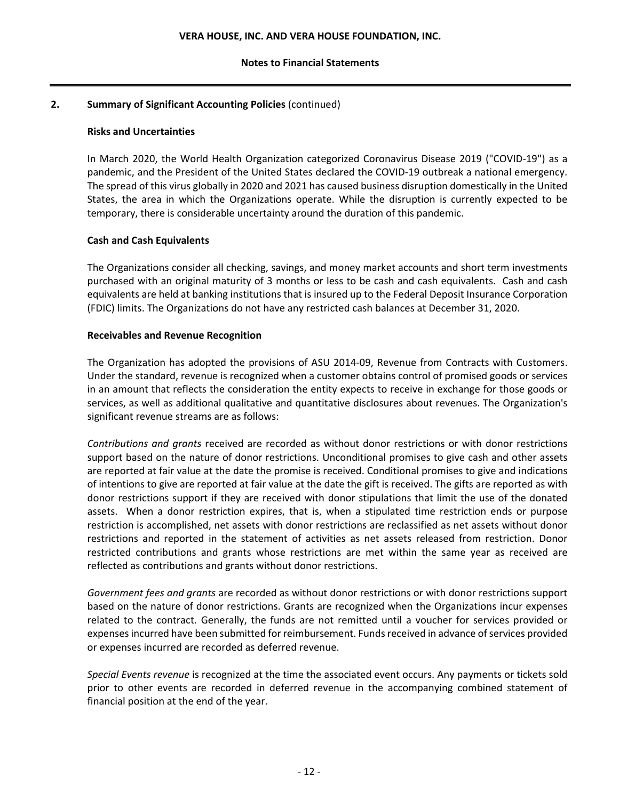## **Notes to Financial Statements**

## **2. Summary of Significant Accounting Policies** (continued)

## **Risks and Uncertainties**

In March 2020, the World Health Organization categorized Coronavirus Disease 2019 ("COVID‐19") as a pandemic, and the President of the United States declared the COVID‐19 outbreak a national emergency. The spread of this virus globally in 2020 and 2021 has caused business disruption domestically in the United States, the area in which the Organizations operate. While the disruption is currently expected to be temporary, there is considerable uncertainty around the duration of this pandemic.

## **Cash and Cash Equivalents**

The Organizations consider all checking, savings, and money market accounts and short term investments purchased with an original maturity of 3 months or less to be cash and cash equivalents. Cash and cash equivalents are held at banking institutions that is insured up to the Federal Deposit Insurance Corporation (FDIC) limits. The Organizations do not have any restricted cash balances at December 31, 2020.

## **Receivables and Revenue Recognition**

The Organization has adopted the provisions of ASU 2014‐09, Revenue from Contracts with Customers. Under the standard, revenue is recognized when a customer obtains control of promised goods or services in an amount that reflects the consideration the entity expects to receive in exchange for those goods or services, as well as additional qualitative and quantitative disclosures about revenues. The Organization's significant revenue streams are as follows:

*Contributions and grants* received are recorded as without donor restrictions or with donor restrictions support based on the nature of donor restrictions. Unconditional promises to give cash and other assets are reported at fair value at the date the promise is received. Conditional promises to give and indications of intentions to give are reported at fair value at the date the gift is received. The gifts are reported as with donor restrictions support if they are received with donor stipulations that limit the use of the donated assets. When a donor restriction expires, that is, when a stipulated time restriction ends or purpose restriction is accomplished, net assets with donor restrictions are reclassified as net assets without donor restrictions and reported in the statement of activities as net assets released from restriction. Donor restricted contributions and grants whose restrictions are met within the same year as received are reflected as contributions and grants without donor restrictions.

*Government fees and grants* are recorded as without donor restrictions or with donor restrictions support based on the nature of donor restrictions. Grants are recognized when the Organizations incur expenses related to the contract. Generally, the funds are not remitted until a voucher for services provided or expenses incurred have been submitted for reimbursement. Funds received in advance of services provided or expenses incurred are recorded as deferred revenue.

*Special Events revenue* is recognized at the time the associated event occurs. Any payments or tickets sold prior to other events are recorded in deferred revenue in the accompanying combined statement of financial position at the end of the year.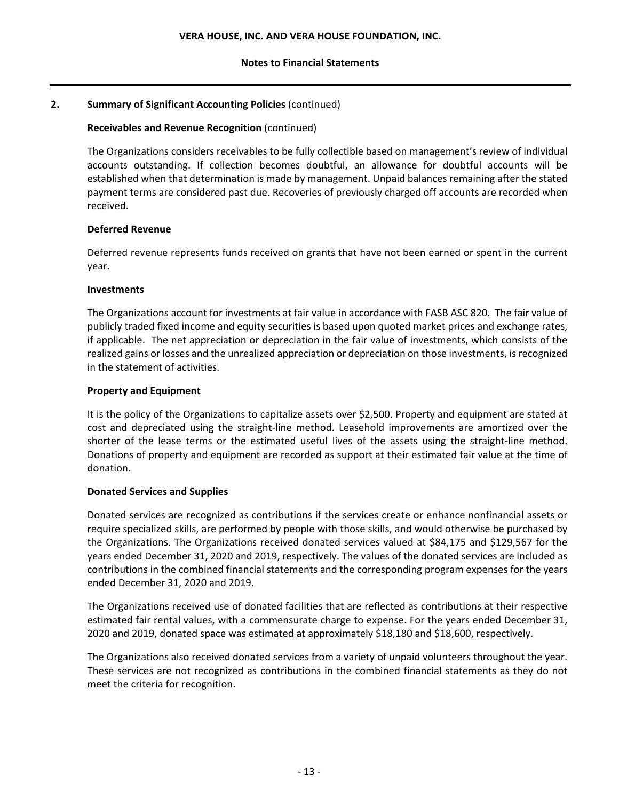## **2. Summary of Significant Accounting Policies** (continued)

## **Receivables and Revenue Recognition** (continued)

The Organizations considers receivables to be fully collectible based on management's review of individual accounts outstanding. If collection becomes doubtful, an allowance for doubtful accounts will be established when that determination is made by management. Unpaid balances remaining after the stated payment terms are considered past due. Recoveries of previously charged off accounts are recorded when received.

## **Deferred Revenue**

Deferred revenue represents funds received on grants that have not been earned or spent in the current year.

## **Investments**

The Organizations account for investments at fair value in accordance with FASB ASC 820. The fair value of publicly traded fixed income and equity securities is based upon quoted market prices and exchange rates, if applicable. The net appreciation or depreciation in the fair value of investments, which consists of the realized gains or losses and the unrealized appreciation or depreciation on those investments, isrecognized in the statement of activities.

## **Property and Equipment**

It is the policy of the Organizations to capitalize assets over \$2,500. Property and equipment are stated at cost and depreciated using the straight‐line method. Leasehold improvements are amortized over the shorter of the lease terms or the estimated useful lives of the assets using the straight-line method. Donations of property and equipment are recorded as support at their estimated fair value at the time of donation.

## **Donated Services and Supplies**

Donated services are recognized as contributions if the services create or enhance nonfinancial assets or require specialized skills, are performed by people with those skills, and would otherwise be purchased by the Organizations. The Organizations received donated services valued at \$84,175 and \$129,567 for the years ended December 31, 2020 and 2019, respectively. The values of the donated services are included as contributions in the combined financial statements and the corresponding program expenses for the years ended December 31, 2020 and 2019.

The Organizations received use of donated facilities that are reflected as contributions at their respective estimated fair rental values, with a commensurate charge to expense. For the years ended December 31, 2020 and 2019, donated space was estimated at approximately \$18,180 and \$18,600, respectively.

The Organizations also received donated services from a variety of unpaid volunteers throughout the year. These services are not recognized as contributions in the combined financial statements as they do not meet the criteria for recognition.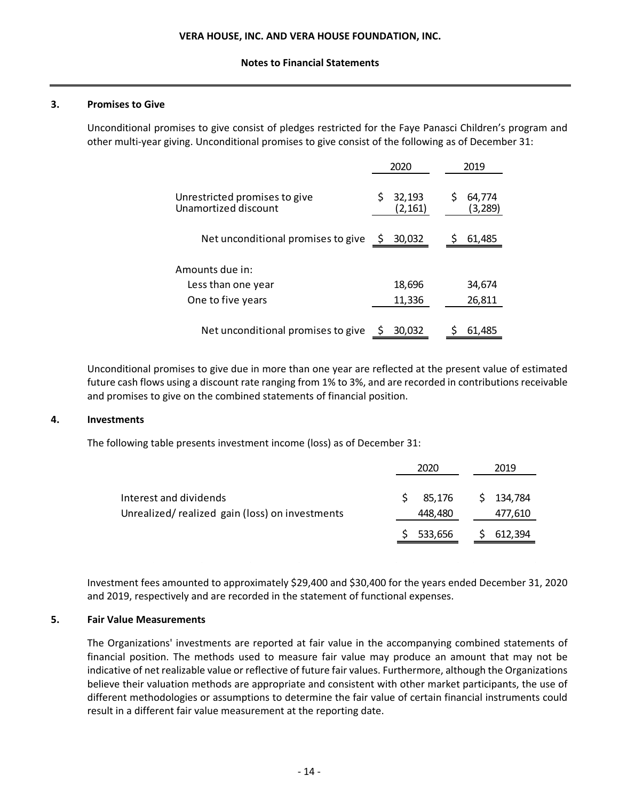#### **3. Promises to Give**

Unconditional promises to give consist of pledges restricted for the Faye Panasci Children's program and other multi‐year giving. Unconditional promises to give consist of the following as of December 31:

|                                                       |     |                    | 2019 |                    |
|-------------------------------------------------------|-----|--------------------|------|--------------------|
| Unrestricted promises to give<br>Unamortized discount |     | 32,193<br>(2, 161) | \$   | 64,774<br>(3, 289) |
| Net unconditional promises to give                    | \$. | 30,032             |      | 61,485             |
| Amounts due in:                                       |     |                    |      |                    |
| Less than one year                                    |     | 18,696             |      | 34,674             |
| One to five years                                     |     | 11,336             |      | 26,811             |
| Net unconditional promises to give                    | S   | 30.032             |      | 61,485             |

Unconditional promises to give due in more than one year are reflected at the present value of estimated future cash flows using a discount rate ranging from 1% to 3%, and are recorded in contributions receivable and promises to give on the combined statements of financial position.

#### **4. Investments**

The following table presents investment income (loss) as of December 31:

|                                                                          | 2020              | 2019                     |
|--------------------------------------------------------------------------|-------------------|--------------------------|
| Interest and dividends<br>Unrealized/realized gain (loss) on investments | 85.176<br>448,480 | 134,784<br>S.<br>477,610 |
|                                                                          | 533,656           | 612,394                  |

Investment fees amounted to approximately \$29,400 and \$30,400 for the years ended December 31, 2020 and 2019, respectively and are recorded in the statement of functional expenses.

## **5. Fair Value Measurements**

The Organizations' investments are reported at fair value in the accompanying combined statements of financial position. The methods used to measure fair value may produce an amount that may not be indicative of net realizable value or reflective of future fair values. Furthermore, although the Organizations believe their valuation methods are appropriate and consistent with other market participants, the use of different methodologies or assumptions to determine the fair value of certain financial instruments could result in a different fair value measurement at the reporting date.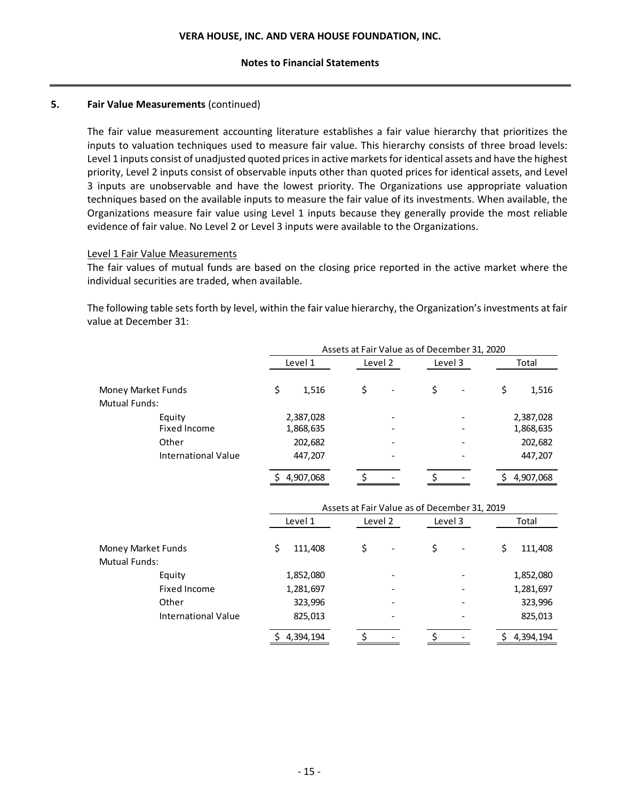## **5. Fair Value Measurements** (continued)

The fair value measurement accounting literature establishes a fair value hierarchy that prioritizes the inputs to valuation techniques used to measure fair value. This hierarchy consists of three broad levels: Level 1 inputs consist of unadjusted quoted prices in active markets for identical assets and have the highest priority, Level 2 inputs consist of observable inputs other than quoted prices for identical assets, and Level 3 inputs are unobservable and have the lowest priority. The Organizations use appropriate valuation techniques based on the available inputs to measure the fair value of its investments. When available, the Organizations measure fair value using Level 1 inputs because they generally provide the most reliable evidence of fair value. No Level 2 or Level 3 inputs were available to the Organizations.

## Level 1 Fair Value Measurements

The fair values of mutual funds are based on the closing price reported in the active market where the individual securities are traded, when available.

The following table sets forth by level, within the fair value hierarchy, the Organization's investments at fair value at December 31:

|                      | Assets at Fair Value as of December 31, 2020 |         |         |             |  |  |  |  |  |  |
|----------------------|----------------------------------------------|---------|---------|-------------|--|--|--|--|--|--|
|                      | Level 1                                      | Level 2 | Level 3 | Total       |  |  |  |  |  |  |
| Money Market Funds   | \$<br>1,516                                  | S       | \$      | \$<br>1,516 |  |  |  |  |  |  |
| <b>Mutual Funds:</b> |                                              |         |         |             |  |  |  |  |  |  |
| Equity               | 2,387,028                                    |         |         | 2,387,028   |  |  |  |  |  |  |
| Fixed Income         | 1,868,635                                    |         |         | 1,868,635   |  |  |  |  |  |  |
| Other                | 202,682                                      |         |         | 202,682     |  |  |  |  |  |  |
| International Value  | 447,207                                      |         |         | 447,207     |  |  |  |  |  |  |
|                      | 4,907,068                                    |         |         | 4,907,068   |  |  |  |  |  |  |

|                            | Assets at Fair Value as of December 31, 2019 |         |         |               |  |  |  |  |  |  |
|----------------------------|----------------------------------------------|---------|---------|---------------|--|--|--|--|--|--|
|                            | Level 1                                      | Level 2 | Level 3 | Total         |  |  |  |  |  |  |
| Money Market Funds         | 111,408                                      | Ś       | \$      | \$<br>111,408 |  |  |  |  |  |  |
| <b>Mutual Funds:</b>       |                                              |         |         |               |  |  |  |  |  |  |
| Equity                     | 1,852,080                                    |         |         | 1,852,080     |  |  |  |  |  |  |
| Fixed Income               | 1,281,697                                    |         |         | 1,281,697     |  |  |  |  |  |  |
| Other                      | 323,996                                      |         |         | 323,996       |  |  |  |  |  |  |
| <b>International Value</b> | 825,013                                      |         |         | 825,013       |  |  |  |  |  |  |
|                            | 4,394,194                                    |         |         | 4,394,194     |  |  |  |  |  |  |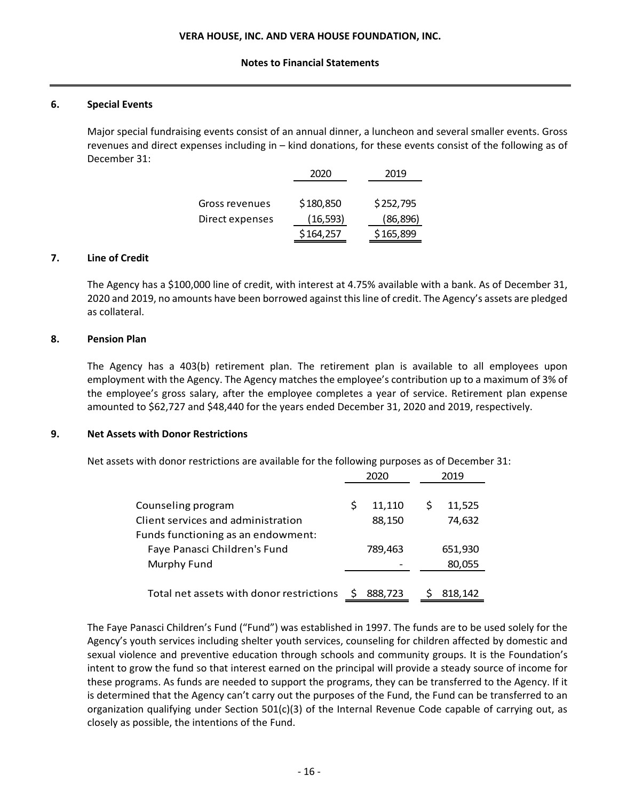## **6. Special Events**

Major special fundraising events consist of an annual dinner, a luncheon and several smaller events. Gross revenues and direct expenses including in – kind donations, for these events consist of the following as of December 31:

|                 | 2020      | 2019      |
|-----------------|-----------|-----------|
|                 |           |           |
| Gross revenues  | \$180,850 | \$252,795 |
| Direct expenses | (16, 593) | (86, 896) |
|                 | \$164,257 | \$165,899 |

## **7. Line of Credit**

The Agency has a \$100,000 line of credit, with interest at 4.75% available with a bank. As of December 31, 2020 and 2019, no amounts have been borrowed against thisline of credit. The Agency's assets are pledged as collateral.

## **8. Pension Plan**

The Agency has a 403(b) retirement plan. The retirement plan is available to all employees upon employment with the Agency. The Agency matches the employee's contribution up to a maximum of 3% of the employee's gross salary, after the employee completes a year of service. Retirement plan expense amounted to \$62,727 and \$48,440 for the years ended December 31, 2020 and 2019, respectively.

## **9. Net Assets with Donor Restrictions**

Net assets with donor restrictions are available for the following purposes as of December 31:

|                                          |    |         |   | 2019    |  |
|------------------------------------------|----|---------|---|---------|--|
| Counseling program                       | \$ | 11,110  | S | 11,525  |  |
| Client services and administration       |    | 88,150  |   | 74,632  |  |
| Funds functioning as an endowment:       |    |         |   |         |  |
| Faye Panasci Children's Fund             |    | 789,463 |   | 651,930 |  |
| Murphy Fund                              |    |         |   | 80,055  |  |
|                                          |    |         |   |         |  |
| Total net assets with donor restrictions |    | 888.723 |   | 818.142 |  |

The Faye Panasci Children's Fund ("Fund") was established in 1997. The funds are to be used solely for the Agency's youth services including shelter youth services, counseling for children affected by domestic and sexual violence and preventive education through schools and community groups. It is the Foundation's intent to grow the fund so that interest earned on the principal will provide a steady source of income for these programs. As funds are needed to support the programs, they can be transferred to the Agency. If it is determined that the Agency can't carry out the purposes of the Fund, the Fund can be transferred to an organization qualifying under Section 501(c)(3) of the Internal Revenue Code capable of carrying out, as closely as possible, the intentions of the Fund.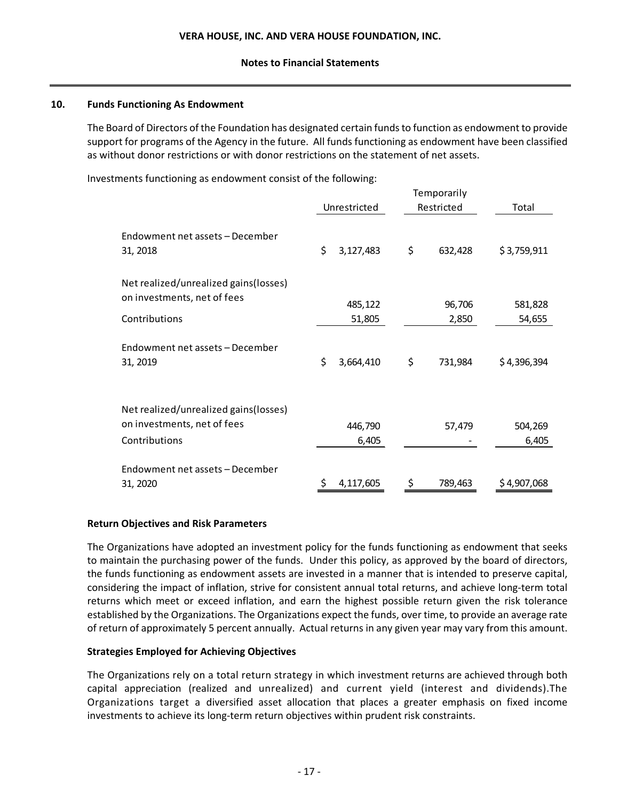## **10. Funds Functioning As Endowment**

The Board of Directors of the Foundation has designated certain fundsto function as endowment to provide support for programs of the Agency in the future. All funds functioning as endowment have been classified as without donor restrictions or with donor restrictions on the statement of net assets.

Investments functioning as endowment consist of the following:

|                                                                      | Unrestricted    | Restricted    | Total       |
|----------------------------------------------------------------------|-----------------|---------------|-------------|
| Endowment net assets – December<br>31, 2018                          | \$<br>3,127,483 | \$<br>632,428 | \$3,759,911 |
| Net realized/unrealized gains(losses)<br>on investments, net of fees |                 |               |             |
|                                                                      | 485,122         | 96,706        | 581,828     |
| Contributions                                                        | 51,805          | 2,850         | 54,655      |
| Endowment net assets - December<br>31, 2019                          | \$<br>3,664,410 | \$<br>731,984 | \$4,396,394 |
| Net realized/unrealized gains(losses)<br>on investments, net of fees | 446,790         | 57,479        | 504,269     |
| Contributions                                                        | 6,405           |               | 6,405       |
| Endowment net assets - December                                      |                 |               |             |
| 31, 2020                                                             | 4,117,605       | \$<br>789,463 | \$4,907,068 |

## **Return Objectives and Risk Parameters**

The Organizations have adopted an investment policy for the funds functioning as endowment that seeks to maintain the purchasing power of the funds. Under this policy, as approved by the board of directors, the funds functioning as endowment assets are invested in a manner that is intended to preserve capital, considering the impact of inflation, strive for consistent annual total returns, and achieve long‐term total returns which meet or exceed inflation, and earn the highest possible return given the risk tolerance established by the Organizations. The Organizations expect the funds, over time, to provide an average rate of return of approximately 5 percent annually. Actual returns in any given year may vary from this amount.

## **Strategies Employed for Achieving Objectives**

The Organizations rely on a total return strategy in which investment returns are achieved through both capital appreciation (realized and unrealized) and current yield (interest and dividends).The Organizations target a diversified asset allocation that places a greater emphasis on fixed income investments to achieve its long-term return objectives within prudent risk constraints.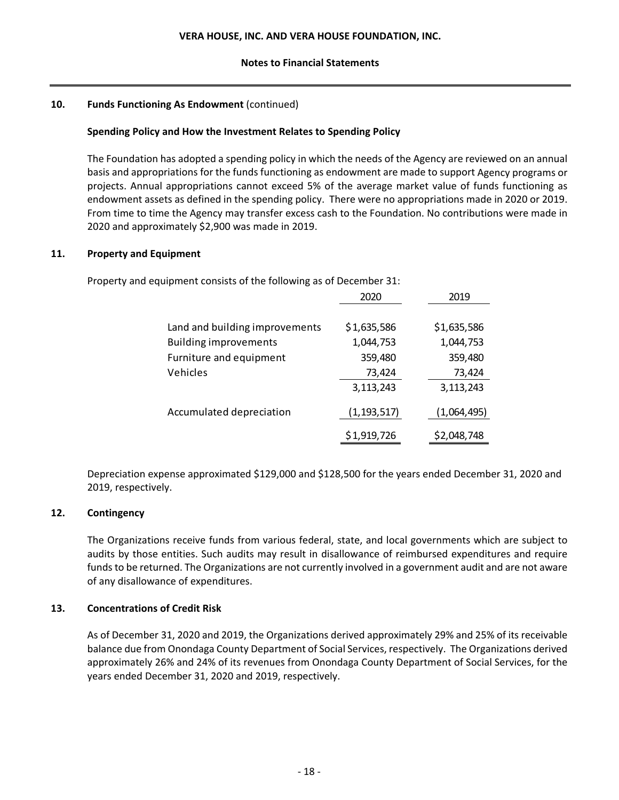## **10. Funds Functioning As Endowment** (continued)

## **Spending Policy and How the Investment Relates to Spending Policy**

The Foundation has adopted a spending policy in which the needs of the Agency are reviewed on an annual basis and appropriations for the funds functioning as endowment are made to support Agency programs or projects. Annual appropriations cannot exceed 5% of the average market value of funds functioning as endowment assets as defined in the spending policy. There were no appropriations made in 2020 or 2019. From time to time the Agency may transfer excess cash to the Foundation. No contributions were made in 2020 and approximately \$2,900 was made in 2019.

## **11. Property and Equipment**

Property and equipment consists of the following as of December 31:

|                                | 2020          | 2019        |
|--------------------------------|---------------|-------------|
|                                |               |             |
| Land and building improvements | \$1,635,586   | \$1,635,586 |
| <b>Building improvements</b>   | 1,044,753     | 1,044,753   |
| Furniture and equipment        | 359,480       | 359,480     |
| Vehicles                       | 73,424        | 73,424      |
|                                | 3,113,243     | 3,113,243   |
| Accumulated depreciation       | (1, 193, 517) | (1,064,495) |
|                                | \$1,919,726   | \$2,048,748 |

Depreciation expense approximated \$129,000 and \$128,500 for the years ended December 31, 2020 and 2019, respectively.

## **12. Contingency**

The Organizations receive funds from various federal, state, and local governments which are subject to audits by those entities. Such audits may result in disallowance of reimbursed expenditures and require funds to be returned. The Organizations are not currently involved in a government audit and are not aware of any disallowance of expenditures.

## **13. Concentrations of Credit Risk**

As of December 31, 2020 and 2019, the Organizations derived approximately 29% and 25% of its receivable balance due from Onondaga County Department of Social Services, respectively. The Organizations derived approximately 26% and 24% of its revenues from Onondaga County Department of Social Services, for the years ended December 31, 2020 and 2019, respectively.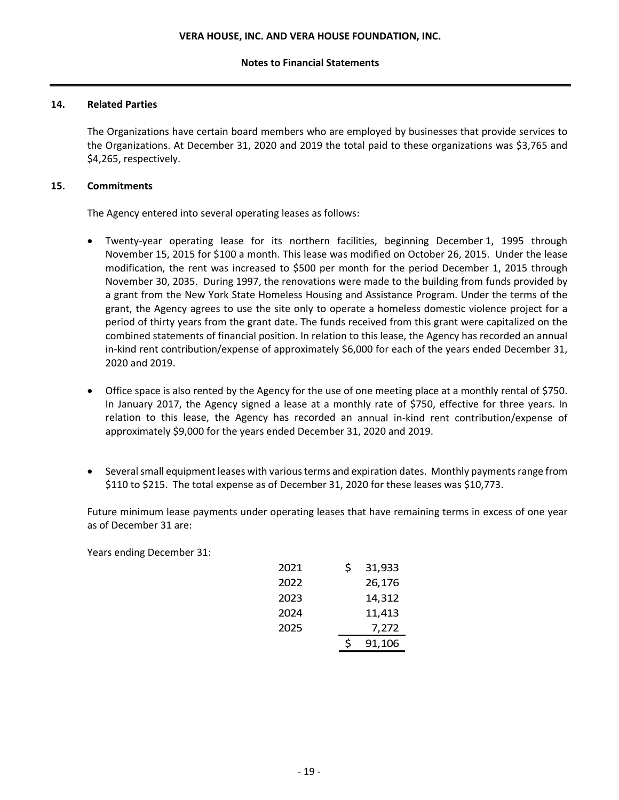## **14. Related Parties**

The Organizations have certain board members who are employed by businesses that provide services to the Organizations. At December 31, 2020 and 2019 the total paid to these organizations was \$3,765 and \$4,265, respectively.

## **15. Commitments**

The Agency entered into several operating leases as follows:

- Twenty-year operating lease for its northern facilities, beginning December 1, 1995 through November 15, 2015 for \$100 a month. This lease was modified on October 26, 2015. Under the lease modification, the rent was increased to \$500 per month for the period December 1, 2015 through November 30, 2035. During 1997, the renovations were made to the building from funds provided by a grant from the New York State Homeless Housing and Assistance Program. Under the terms of the grant, the Agency agrees to use the site only to operate a homeless domestic violence project for a period of thirty years from the grant date. The funds received from this grant were capitalized on the combined statements of financial position. In relation to this lease, the Agency has recorded an annual in‐kind rent contribution/expense of approximately \$6,000 for each of the years ended December 31, 2020 and 2019.
- Office space is also rented by the Agency for the use of one meeting place at a monthly rental of \$750. In January 2017, the Agency signed a lease at a monthly rate of \$750, effective for three years. In relation to this lease, the Agency has recorded an annual in‐kind rent contribution/expense of approximately \$9,000 for the years ended December 31, 2020 and 2019.
- Several small equipment leases with various terms and expiration dates. Monthly payments range from \$110 to \$215. The total expense as of December 31, 2020 for these leases was \$10,773.

Future minimum lease payments under operating leases that have remaining terms in excess of one year as of December 31 are:

Years ending December 31:

| 2021 | \$ | 31,933 |
|------|----|--------|
| 2022 |    | 26,176 |
| 2023 |    | 14,312 |
| 2024 |    | 11,413 |
| 2025 |    | 7,272  |
|      | ¢  | 91,106 |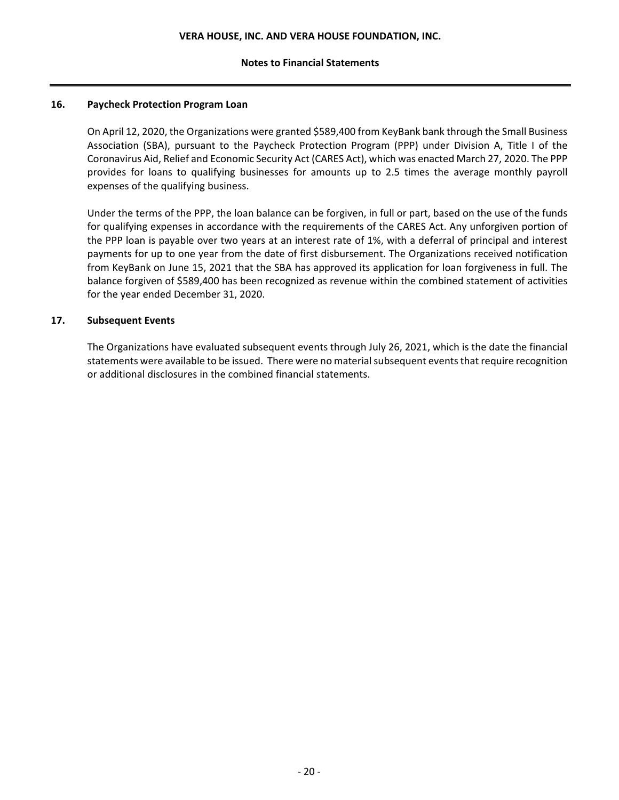## **16. Paycheck Protection Program Loan**

On April 12, 2020, the Organizations were granted \$589,400 from KeyBank bank through the Small Business Association (SBA), pursuant to the Paycheck Protection Program (PPP) under Division A, Title I of the Coronavirus Aid, Relief and Economic Security Act (CARES Act), which was enacted March 27, 2020. The PPP provides for loans to qualifying businesses for amounts up to 2.5 times the average monthly payroll expenses of the qualifying business.

Under the terms of the PPP, the loan balance can be forgiven, in full or part, based on the use of the funds for qualifying expenses in accordance with the requirements of the CARES Act. Any unforgiven portion of the PPP loan is payable over two years at an interest rate of 1%, with a deferral of principal and interest payments for up to one year from the date of first disbursement. The Organizations received notification from KeyBank on June 15, 2021 that the SBA has approved its application for loan forgiveness in full. The balance forgiven of \$589,400 has been recognized as revenue within the combined statement of activities for the year ended December 31, 2020.

## **17. Subsequent Events**

The Organizations have evaluated subsequent events through July 26, 2021, which is the date the financial statements were available to be issued. There were no material subsequent events that require recognition or additional disclosures in the combined financial statements.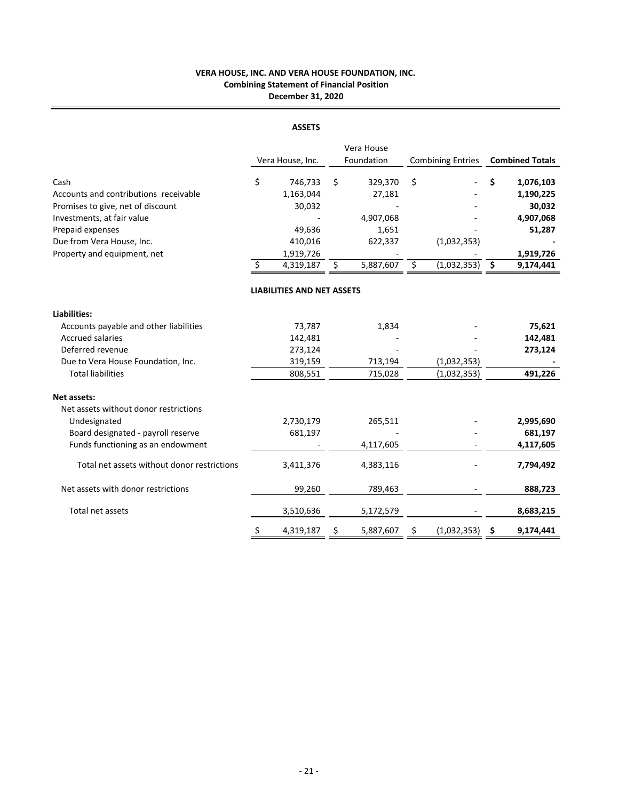## **VERA HOUSE, INC. AND VERA HOUSE FOUNDATION, INC. Combining Statement of Financial Position December 31, 2020**

#### **ASSETS**

|                                                                                    | Vera House, Inc.                     |    | Vera House<br>Foundation | <b>Combining Entries</b> |             |    | <b>Combined Totals</b>           |
|------------------------------------------------------------------------------------|--------------------------------------|----|--------------------------|--------------------------|-------------|----|----------------------------------|
| Cash<br>Accounts and contributions receivable<br>Promises to give, net of discount | \$<br>746,733<br>1,163,044<br>30,032 | \$ | 329,370<br>27,181        | \$                       |             | Ś  | 1,076,103<br>1,190,225<br>30,032 |
| Investments, at fair value                                                         |                                      |    | 4,907,068                |                          |             |    | 4,907,068                        |
| Prepaid expenses                                                                   | 49,636                               |    | 1,651                    |                          |             |    | 51,287                           |
| Due from Vera House, Inc.                                                          | 410,016                              |    | 622,337                  |                          | (1,032,353) |    |                                  |
| Property and equipment, net                                                        | \$<br>1,919,726<br>4,319,187         | Ŝ. | 5,887,607                | Ś.                       | (1,032,353) |    | 1,919,726<br>9,174,441           |
|                                                                                    |                                      |    |                          |                          |             | \$ |                                  |
|                                                                                    | <b>LIABILITIES AND NET ASSETS</b>    |    |                          |                          |             |    |                                  |
| <b>Liabilities:</b>                                                                |                                      |    |                          |                          |             |    |                                  |
| Accounts payable and other liabilities                                             | 73,787                               |    | 1,834                    |                          |             |    | 75,621                           |
| <b>Accrued salaries</b>                                                            | 142,481                              |    |                          |                          |             |    | 142,481                          |
| Deferred revenue                                                                   | 273,124                              |    |                          |                          |             |    | 273,124                          |
| Due to Vera House Foundation, Inc.                                                 | 319,159                              |    | 713,194                  |                          | (1,032,353) |    |                                  |
| <b>Total liabilities</b>                                                           | 808,551                              |    | 715,028                  |                          | (1,032,353) |    | 491,226                          |
| Net assets:<br>Net assets without donor restrictions                               |                                      |    |                          |                          |             |    |                                  |
| Undesignated                                                                       | 2,730,179                            |    | 265,511                  |                          |             |    | 2,995,690                        |
| Board designated - payroll reserve                                                 | 681,197                              |    |                          |                          |             |    | 681,197                          |
| Funds functioning as an endowment                                                  |                                      |    | 4,117,605                |                          |             |    | 4,117,605                        |
| Total net assets without donor restrictions                                        | 3,411,376                            |    | 4,383,116                |                          |             |    | 7,794,492                        |
| Net assets with donor restrictions                                                 | 99,260                               |    | 789,463                  |                          |             |    | 888,723                          |
| Total net assets                                                                   | 3,510,636                            |    | 5,172,579                |                          |             |    | 8,683,215                        |
|                                                                                    | \$<br>4,319,187                      | \$ | 5,887,607                | \$                       | (1,032,353) | \$ | 9,174,441                        |